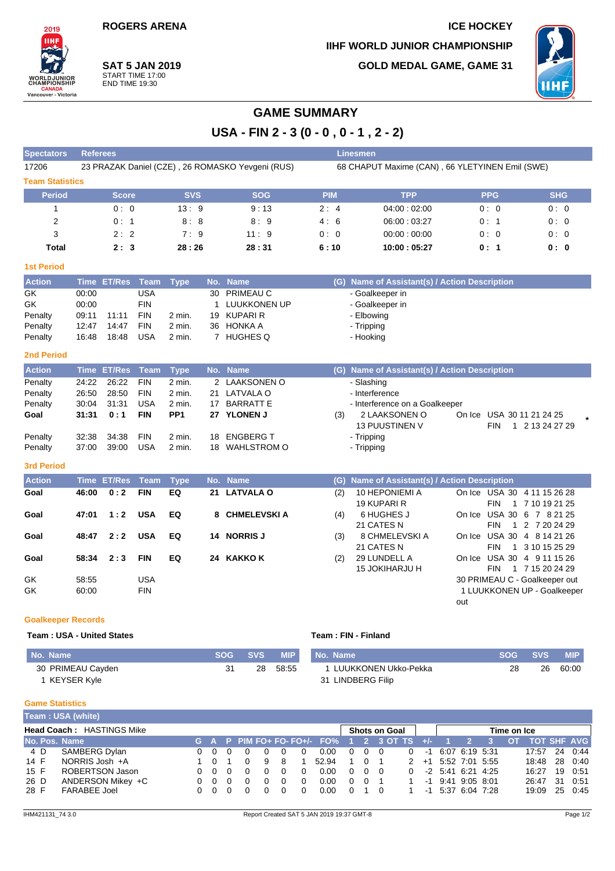**ROGERS ARENA ICE HOCKEY** 

**IIHF WORLD JUNIOR CHAMPIONSHIP GOLD MEDAL GAME, GAME 31**



**IIH WORLDJUNI**<br>CHAMPIONSI **CANADA**<br>Vancouver - Victoria

2019

## **SAT 5 JAN 2019** START TIME 17:00 END TIME 19:30

**USA - FIN 2 - 3 (0 - 0 , 0 - 1 , 2 - 2)**

| <b>Spectators</b>      | <b>Referees</b>                                  |            |            | <b>Linesmen</b> |                                                 |            |            |
|------------------------|--------------------------------------------------|------------|------------|-----------------|-------------------------------------------------|------------|------------|
| 17206                  | 23 PRAZAK Daniel (CZE), 26 ROMASKO Yevgeni (RUS) |            |            |                 | 68 CHAPUT Maxime (CAN), 66 YLETYINEN Emil (SWE) |            |            |
| <b>Team Statistics</b> |                                                  |            |            |                 |                                                 |            |            |
| <b>Period</b>          | <b>Score</b>                                     | <b>SVS</b> | <b>SOG</b> | <b>PIM</b>      | <b>TPP</b>                                      | <b>PPG</b> | <b>SHG</b> |
|                        | 0:0                                              | 13:9       | 9:13       | 2:4             | 04:00:02:00                                     | 0:0        | 0:0        |
| 2                      | 0:1                                              | 8:8        | 8:9        | 4:6             | 06:00:03:27                                     | 0:1        | 0:0        |
| 3                      | 2:2                                              | 7:9        | 11:9       | 0:0             | 00.00:00.00                                     | 0:0        | 0:0        |
| Total                  | 2:3                                              | 28:26      | 28:31      | 6:10            | 10:00:05:27                                     | 0:1        | 0:0        |

### **1st Period**

| <b>Action</b> |       | Time ET/Res Team Type |            |        |    | No. Name     | (G) Name of Assistant(s) / Action Description |
|---------------|-------|-----------------------|------------|--------|----|--------------|-----------------------------------------------|
| GK            | 00:00 |                       | USA        |        | 30 | PRIMEAU C    | - Goalkeeper in                               |
| <b>GK</b>     | 00:00 |                       | FIN        |        |    | LUUKKONEN UP | - Goalkeeper in                               |
| Penalty       | 09:11 | 11:11                 | <b>FIN</b> | 2 min. |    | 19 KUPARI R  | - Elbowing                                    |
| Penalty       | 12:47 | 14:47                 | <b>FIN</b> | 2 min. | 36 | HONKA A      | - Tripping                                    |
| Penalty       | 16:48 | 18:48                 | <b>USA</b> | 2 min. |    | HUGHES Q     | - Hooking                                     |

### **2nd Period**

| <b>Action</b> |       | Time ET/Res Team Type |            |                 |    | No. Name       |     | (G) Name of Assistant(s) / Action Description |                               |  |
|---------------|-------|-----------------------|------------|-----------------|----|----------------|-----|-----------------------------------------------|-------------------------------|--|
| Penalty       | 24:22 | 26:22                 | <b>FIN</b> | 2 min.          |    | 2 LAAKSONEN O  |     | - Slashing                                    |                               |  |
| Penalty       | 26.50 | 28:50                 | <b>FIN</b> | 2 min.          |    | 21 LATVALA O   |     | - Interference                                |                               |  |
| Penalty       | 30:04 | 31:31                 | USA        | 2 min.          | 17 | BARRATT E      |     | - Interference on a Goalkeeper                |                               |  |
| Goal          | 31:31 | 0:1                   | <b>FIN</b> | PP <sub>1</sub> |    | 27 YLONEN J    | (3) | 2 LAAKSONEN O                                 | On Ice USA 30 11 21 24 25     |  |
|               |       |                       |            |                 |    |                |     | <b>13 PUUSTINEN V</b>                         | 1 2 13 24 27 29<br><b>FIN</b> |  |
| Penalty       | 32:38 | 34:38                 | <b>FIN</b> | 2 min.          |    | 18 ENGBERG T   |     | - Tripping                                    |                               |  |
| Penalty       | 37:00 | 39:00                 | USA        | 2 min.          |    | 18 WAHLSTROM O |     | - Tripping                                    |                               |  |

#### **3rd Period**

| <b>Action</b> |       | Time ET/Res Team |            | Type | No. Name      |     | (G) Name of Assistant(s) / Action Description |     |            |                               |
|---------------|-------|------------------|------------|------|---------------|-----|-----------------------------------------------|-----|------------|-------------------------------|
| Goal          | 46:00 | 0:2              | <b>FIN</b> | EQ   | 21 LATVALA O  | (2) | 10 HEPONIEMI A                                |     |            | On Ice USA 30 4 11 15 26 28   |
|               |       |                  |            |      |               |     | 19 KUPARI R                                   |     | <b>FIN</b> | 1 7 10 19 21 25               |
| Goal          | 47:01 | 1:2              | <b>USA</b> | EQ   | 8 CHMELEVSKIA | (4) | 6 HUGHES J                                    |     |            | On Ice USA 30 6 7 8 21 25     |
|               |       |                  |            |      |               |     | 21 CATES N                                    |     | <b>FIN</b> | 1 2 7 20 24 29                |
| Goal          | 48:47 | 2:2              | <b>USA</b> | EQ   | 14 NORRIS J   | (3) | 8 CHMELEVSKI A                                |     |            | On Ice USA 30 4 8 14 21 26    |
|               |       |                  |            |      |               |     | 21 CATES N                                    |     | FIN.       | 1 3 10 15 25 29               |
| Goal          | 58:34 | 2:3              | <b>FIN</b> | EQ   | 24 KAKKO K    | (2) | 29 LUNDELL A                                  |     |            | On Ice USA 30 4 9 11 15 26    |
|               |       |                  |            |      |               |     | 15 JOKIHARJU H                                |     | FIN        | 1 7 15 20 24 29               |
| GK            | 58:55 |                  | <b>USA</b> |      |               |     |                                               |     |            | 30 PRIMEAU C - Goalkeeper out |
| GK            | 60:00 |                  | <b>FIN</b> |      |               |     |                                               |     |            | 1 LUUKKONEN UP - Goalkeeper   |
|               |       |                  |            |      |               |     |                                               | out |            |                               |

#### **Goalkeeper Records**

#### **Team : USA - United States Team : FIN - Finland**

| I No. Name        | <b>SOG</b> | <b>SVS</b> | <b>MIP</b> | No. Name               | <b>SOG</b> | <b>SVS</b> | <b>MIP</b> |
|-------------------|------------|------------|------------|------------------------|------------|------------|------------|
| 30 PRIMEAU Cayden |            | 28         | 58:55      | 1 LUUKKONEN Ukko-Pekka | 28         | 26         | 60:00      |
| KEYSER Kyle       |            |            |            | 1 LINDBERG Filip<br>31 |            |            |            |

## **Game Statistics**

|      | Team: USA (white)                |        |                   |    |          |          |          |          |                                                |                      |                |                |          |  |                     |          |                        |  |                |     |         |
|------|----------------------------------|--------|-------------------|----|----------|----------|----------|----------|------------------------------------------------|----------------------|----------------|----------------|----------|--|---------------------|----------|------------------------|--|----------------|-----|---------|
|      | <b>Head Coach: HASTINGS Mike</b> |        |                   |    |          |          |          |          |                                                | <b>Shots on Goal</b> |                |                |          |  | Time on Ice         |          |                        |  |                |     |         |
|      | No. Pos. Name                    |        |                   |    |          |          |          |          | G A P PIM FO+ FO- FO+/- $FO\%$ 1 2 3 OT TS +/- |                      |                |                |          |  | - 1 -               | $\geq 2$ |                        |  | OT TOT SHF AVG |     |         |
| 4 D  | SAMBERG Dylan                    |        | 0 O               |    |          | 0        |          |          | 0.00                                           | $\Omega$             |                | $0\quad 0$     | $\Omega$ |  | $-1$ 6:07 6:19 5:31 |          |                        |  | 17:57          |     | 24 0:44 |
| 14 F | NORRIS Josh +A                   |        |                   |    | $\Omega$ | -9       | - 8      |          | 52.94                                          |                      |                | 0 <sub>1</sub> |          |  |                     |          | $2 + 1$ 5:52 7:01 5:55 |  | 18:48          |     | 28 0:40 |
| 15 F | ROBERTSON Jason                  |        | $0\quad 0\quad 0$ |    |          | 0        | $\Omega$ | $\Omega$ | 0.00                                           | $\Omega$             | $0\quad 0$     |                | $\Omega$ |  | $-2$ 5:41 6:21 4:25 |          |                        |  | 16:27          |     | 19 0:51 |
| 26 D | ANDERSON Mikey +C                |        | $0\quad 0\quad 0$ |    |          | $\Omega$ |          |          | 0.00                                           | $\Omega$             | 0 <sub>1</sub> |                |          |  | $-1$ 9:41 9:05 8:01 |          |                        |  | 26:47          | -31 | 0:51    |
| 28 F | FARABEE Joel                     | $\cap$ |                   | 00 |          |          |          |          | 0.00                                           | $\Omega$             |                |                |          |  | $-1$ 5:37 6:04 7:28 |          |                        |  | 19:09          |     | 25 0:45 |